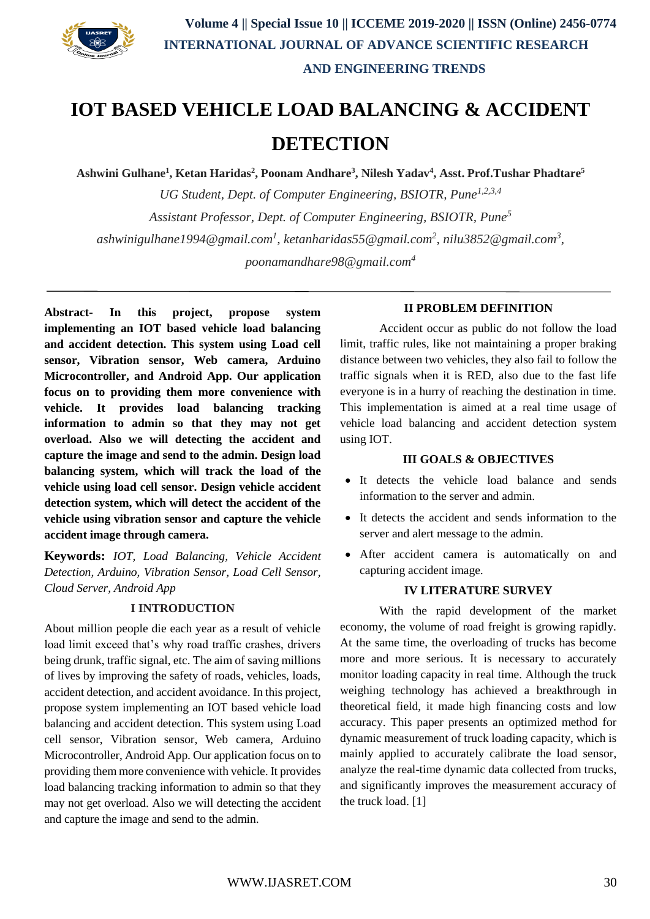

# **IOT BASED VEHICLE LOAD BALANCING & ACCIDENT DETECTION**

**Ashwini Gulhane<sup>1</sup> , Ketan Haridas<sup>2</sup> , Poonam Andhare<sup>3</sup> , Nilesh Yadav<sup>4</sup> , Asst. Prof.Tushar Phadtare 5**

*UG Student, Dept. of Computer Engineering, BSIOTR, Pune1,2,3,4 Assistant Professor, Dept. of Computer Engineering, BSIOTR, Pune<sup>5</sup> ashwinigulhane1994@gmail.com<sup>1</sup> , ketanharidas55@gmail.com<sup>2</sup> , nilu3852@gmail.com<sup>3</sup> , poonamandhare98@gmail.com<sup>4</sup>*

**Abstract- In this project, propose system implementing an IOT based vehicle load balancing and accident detection. This system using Load cell sensor, Vibration sensor, Web camera, Arduino Microcontroller, and Android App. Our application focus on to providing them more convenience with vehicle. It provides load balancing tracking information to admin so that they may not get overload. Also we will detecting the accident and capture the image and send to the admin. Design load balancing system, which will track the load of the vehicle using load cell sensor. Design vehicle accident detection system, which will detect the accident of the vehicle using vibration sensor and capture the vehicle accident image through camera.**

**Keywords:** *IOT, Load Balancing, Vehicle Accident Detection, Arduino, Vibration Sensor, Load Cell Sensor, Cloud Server, Android App*

#### **I INTRODUCTION**

About million people die each year as a result of vehicle load limit exceed that's why road traffic crashes, drivers being drunk, traffic signal, etc. The aim of saving millions of lives by improving the safety of roads, vehicles, loads, accident detection, and accident avoidance. In this project, propose system implementing an IOT based vehicle load balancing and accident detection. This system using Load cell sensor, Vibration sensor, Web camera, Arduino Microcontroller, Android App. Our application focus on to providing them more convenience with vehicle. It provides load balancing tracking information to admin so that they may not get overload. Also we will detecting the accident and capture the image and send to the admin.

#### **II PROBLEM DEFINITION**

Accident occur as public do not follow the load limit, traffic rules, like not maintaining a proper braking distance between two vehicles, they also fail to follow the traffic signals when it is RED, also due to the fast life everyone is in a hurry of reaching the destination in time. This implementation is aimed at a real time usage of vehicle load balancing and accident detection system using IOT.

#### **III GOALS & OBJECTIVES**

- It detects the vehicle load balance and sends information to the server and admin.
- It detects the accident and sends information to the server and alert message to the admin.
- After accident camera is automatically on and capturing accident image.

#### **IV LITERATURE SURVEY**

With the rapid development of the market economy, the volume of road freight is growing rapidly. At the same time, the overloading of trucks has become more and more serious. It is necessary to accurately monitor loading capacity in real time. Although the truck weighing technology has achieved a breakthrough in theoretical field, it made high financing costs and low accuracy. This paper presents an optimized method for dynamic measurement of truck loading capacity, which is mainly applied to accurately calibrate the load sensor, analyze the real-time dynamic data collected from trucks, and significantly improves the measurement accuracy of the truck load. [1]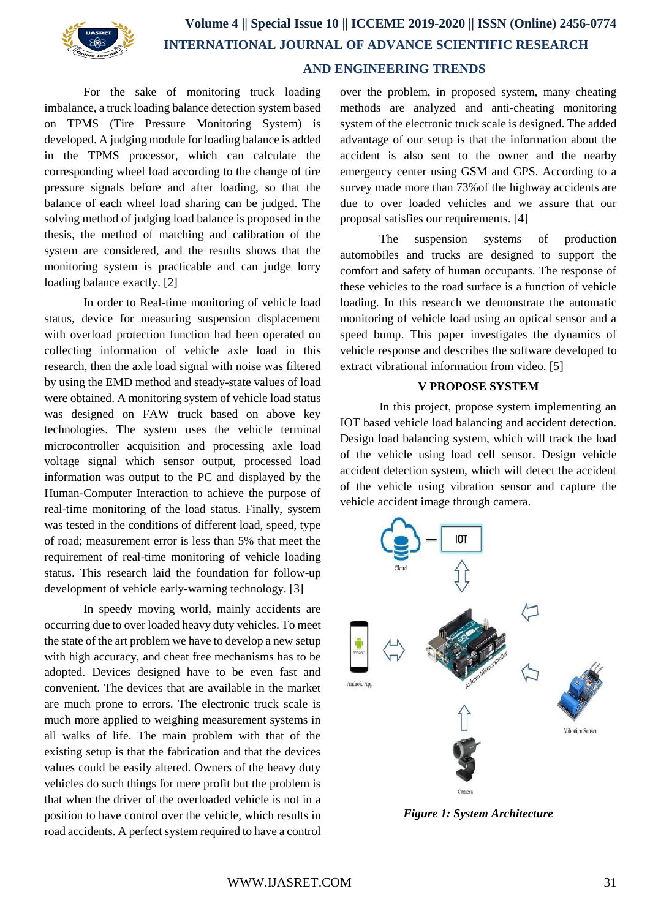

## **Volume 4 || Special Issue 10 || ICCEME 2019-2020 || ISSN (Online) 2456-0774 INTERNATIONAL JOURNAL OF ADVANCE SCIENTIFIC RESEARCH AND ENGINEERING TRENDS**

For the sake of monitoring truck loading imbalance, a truck loading balance detection system based on TPMS (Tire Pressure Monitoring System) is developed. A judging module for loading balance is added in the TPMS processor, which can calculate the corresponding wheel load according to the change of tire pressure signals before and after loading, so that the balance of each wheel load sharing can be judged. The solving method of judging load balance is proposed in the thesis, the method of matching and calibration of the system are considered, and the results shows that the monitoring system is practicable and can judge lorry loading balance exactly. [2]

In order to Real-time monitoring of vehicle load status, device for measuring suspension displacement with overload protection function had been operated on collecting information of vehicle axle load in this research, then the axle load signal with noise was filtered by using the EMD method and steady-state values of load were obtained. A monitoring system of vehicle load status was designed on FAW truck based on above key technologies. The system uses the vehicle terminal microcontroller acquisition and processing axle load voltage signal which sensor output, processed load information was output to the PC and displayed by the Human-Computer Interaction to achieve the purpose of real-time monitoring of the load status. Finally, system was tested in the conditions of different load, speed, type of road; measurement error is less than 5% that meet the requirement of real-time monitoring of vehicle loading status. This research laid the foundation for follow-up development of vehicle early-warning technology. [3]

In speedy moving world, mainly accidents are occurring due to over loaded heavy duty vehicles. To meet the state of the art problem we have to develop a new setup with high accuracy, and cheat free mechanisms has to be adopted. Devices designed have to be even fast and convenient. The devices that are available in the market are much prone to errors. The electronic truck scale is much more applied to weighing measurement systems in all walks of life. The main problem with that of the existing setup is that the fabrication and that the devices values could be easily altered. Owners of the heavy duty vehicles do such things for mere profit but the problem is that when the driver of the overloaded vehicle is not in a position to have control over the vehicle, which results in road accidents. A perfect system required to have a control over the problem, in proposed system, many cheating methods are analyzed and anti-cheating monitoring system of the electronic truck scale is designed. The added advantage of our setup is that the information about the accident is also sent to the owner and the nearby emergency center using GSM and GPS. According to a survey made more than 73%of the highway accidents are due to over loaded vehicles and we assure that our proposal satisfies our requirements. [4]

The suspension systems of production automobiles and trucks are designed to support the comfort and safety of human occupants. The response of these vehicles to the road surface is a function of vehicle loading. In this research we demonstrate the automatic monitoring of vehicle load using an optical sensor and a speed bump. This paper investigates the dynamics of vehicle response and describes the software developed to extract vibrational information from video. [5]

#### **V PROPOSE SYSTEM**

In this project, propose system implementing an IOT based vehicle load balancing and accident detection. Design load balancing system, which will track the load of the vehicle using load cell sensor. Design vehicle accident detection system, which will detect the accident of the vehicle using vibration sensor and capture the vehicle accident image through camera.



*Figure 1: System Architecture*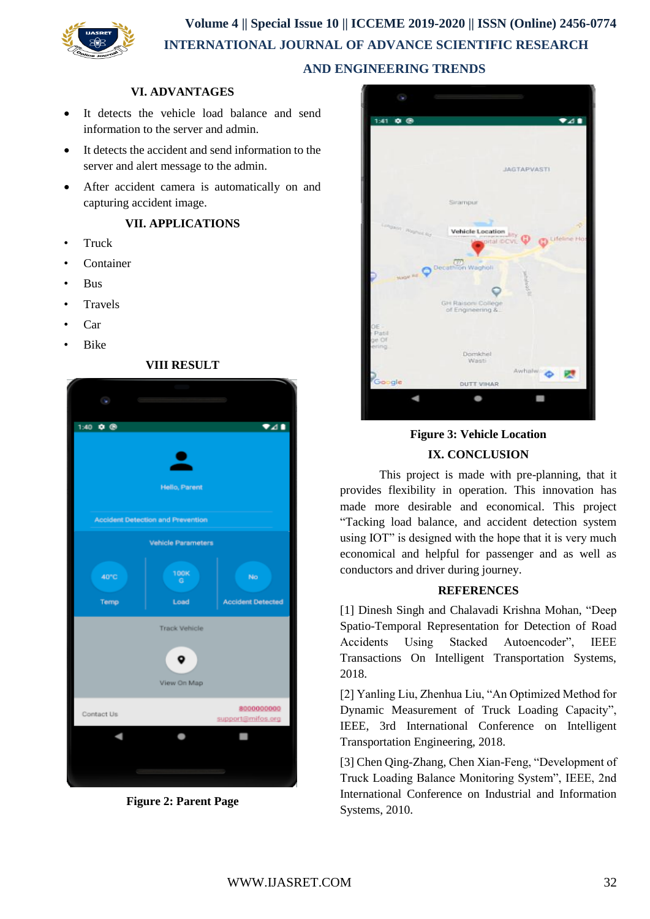**Volume 4 || Special Issue 10 || ICCEME 2019-2020 || ISSN (Online) 2456-0774 INTERNATIONAL JOURNAL OF ADVANCE SCIENTIFIC RESEARCH AND ENGINEERING TRENDS**

#### **VI. ADVANTAGES**

- It detects the vehicle load balance and send information to the server and admin.
- It detects the accident and send information to the server and alert message to the admin.
- After accident camera is automatically on and capturing accident image.

#### **VII. APPLICATIONS**

- Truck
- Container
- Bus
- **Travels**
- Car
- Bike



**Figure 2: Parent Page**



### **Figure 3: Vehicle Location IX. CONCLUSION**

This project is made with pre-planning, that it provides flexibility in operation. This innovation has made more desirable and economical. This project "Tacking load balance, and accident detection system using IOT" is designed with the hope that it is very much economical and helpful for passenger and as well as conductors and driver during journey.

#### **REFERENCES**

[1] Dinesh Singh and Chalavadi Krishna Mohan, "Deep Spatio-Temporal Representation for Detection of Road Accidents Using Stacked Autoencoder", IEEE Transactions On Intelligent Transportation Systems, 2018.

[2] Yanling Liu, Zhenhua Liu, "An Optimized Method for Dynamic Measurement of Truck Loading Capacity", IEEE, 3rd International Conference on Intelligent Transportation Engineering, 2018.

[3] Chen Qing-Zhang, Chen Xian-Feng, "Development of Truck Loading Balance Monitoring System", IEEE, 2nd International Conference on Industrial and Information Systems, 2010.